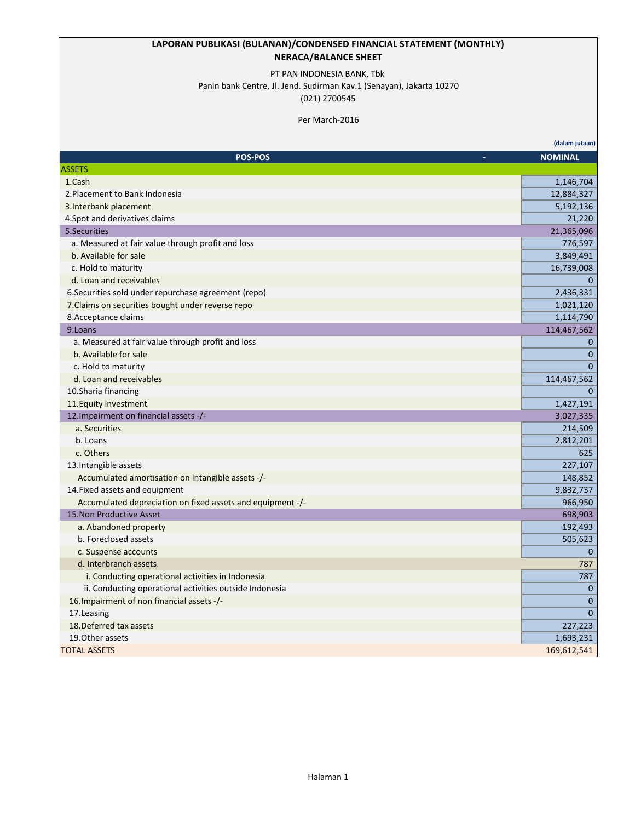### **LAPORAN PUBLIKASI (BULANAN)/CONDENSED FINANCIAL STATEMENT (MONTHLY) NERACA/BALANCE SHEET**

#### PT PAN INDONESIA BANK, Tbk

Panin bank Centre, Jl. Jend. Sudirman Kav.1 (Senayan), Jakarta 10270

(021) 2700545

#### Per March-2016

|                                                            | (dalam jutaan) |
|------------------------------------------------------------|----------------|
| <b>POS-POS</b>                                             | <b>NOMINAL</b> |
| <b>ASSETS</b>                                              |                |
| 1.Cash                                                     | 1,146,704      |
| 2. Placement to Bank Indonesia                             | 12,884,327     |
| 3. Interbank placement                                     | 5,192,136      |
| 4. Spot and derivatives claims                             | 21,220         |
| 5.Securities                                               | 21,365,096     |
| a. Measured at fair value through profit and loss          | 776,597        |
| b. Available for sale                                      | 3,849,491      |
| c. Hold to maturity                                        | 16,739,008     |
| d. Loan and receivables                                    | $\mathbf{0}$   |
| 6. Securities sold under repurchase agreement (repo)       | 2,436,331      |
| 7. Claims on securities bought under reverse repo          | 1,021,120      |
| 8. Acceptance claims                                       | 1,114,790      |
| 9.Loans                                                    | 114,467,562    |
| a. Measured at fair value through profit and loss          | $\mathbf{0}$   |
| b. Available for sale                                      | $\mathbf{0}$   |
| c. Hold to maturity                                        | $\Omega$       |
| d. Loan and receivables                                    | 114,467,562    |
| 10.Sharia financing                                        | $\Omega$       |
| 11. Equity investment                                      | 1,427,191      |
| 12. Impairment on financial assets -/-                     | 3,027,335      |
| a. Securities                                              | 214,509        |
| b. Loans                                                   | 2,812,201      |
| c. Others                                                  | 625            |
| 13. Intangible assets                                      | 227,107        |
| Accumulated amortisation on intangible assets -/-          | 148,852        |
| 14. Fixed assets and equipment                             | 9,832,737      |
| Accumulated depreciation on fixed assets and equipment -/- | 966,950        |
| 15. Non Productive Asset                                   | 698,903        |
| a. Abandoned property                                      | 192,493        |
| b. Foreclosed assets                                       | 505,623        |
| c. Suspense accounts                                       | $\mathbf{0}$   |
| d. Interbranch assets                                      | 787            |
| i. Conducting operational activities in Indonesia          | 787            |
| ii. Conducting operational activities outside Indonesia    | $\mathbf{0}$   |
| 16. Impairment of non financial assets -/-                 | $\mathbf{0}$   |
| 17.Leasing                                                 | $\mathbf{0}$   |
| 18. Deferred tax assets                                    | 227,223        |
| 19. Other assets                                           | 1,693,231      |
| <b>TOTAL ASSETS</b>                                        | 169,612,541    |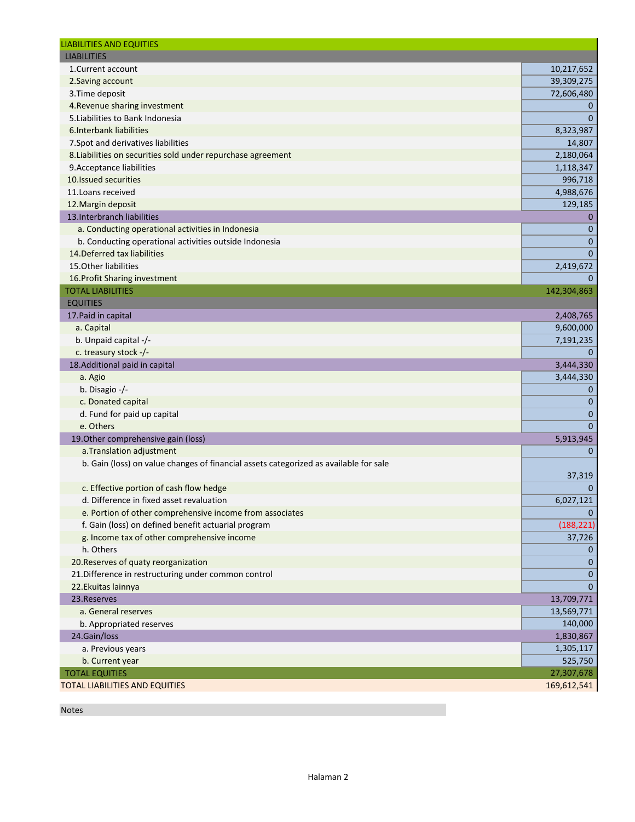| <b>LIABILITIES</b><br>1. Current account<br>10,217,652<br>39,309,275<br>2. Saving account<br>3. Time deposit<br>72,606,480<br>4. Revenue sharing investment<br>0<br>$\mathbf{0}$<br>5. Liabilities to Bank Indonesia<br>6. Interbank liabilities<br>8,323,987<br>7. Spot and derivatives liabilities<br>14,807<br>8. Liabilities on securities sold under repurchase agreement<br>2,180,064<br>9. Acceptance liabilities<br>1,118,347<br>10. Issued securities<br>996,718<br>11. Loans received<br>4,988,676<br>12. Margin deposit<br>129,185<br>13. Interbranch liabilities<br>$\mathbf 0$<br>a. Conducting operational activities in Indonesia<br>$\mathbf 0$<br>$\mathbf 0$<br>b. Conducting operational activities outside Indonesia<br>14. Deferred tax liabilities<br>$\mathbf{0}$<br>15. Other liabilities<br>2,419,672<br>16. Profit Sharing investment<br>$\mathbf 0$<br><b>TOTAL LIABILITIES</b><br>142,304,863<br><b>EQUITIES</b><br>2,408,765<br>17. Paid in capital<br>a. Capital<br>9,600,000<br>b. Unpaid capital -/-<br>7,191,235<br>c. treasury stock -/-<br>$\mathbf{0}$<br>18. Additional paid in capital<br>3,444,330<br>a. Agio<br>3,444,330<br>b. Disagio -/-<br>$\mathbf 0$<br>c. Donated capital<br>$\mathbf 0$<br>d. Fund for paid up capital<br>$\mathbf 0$<br>e. Others<br>$\mathbf{0}$<br>19. Other comprehensive gain (loss)<br>5,913,945<br>a. Translation adjustment<br>$\mathbf 0$<br>b. Gain (loss) on value changes of financial assets categorized as available for sale<br>37,319<br>c. Effective portion of cash flow hedge<br>$\mathbf 0$<br>d. Difference in fixed asset revaluation<br>6,027,121<br>e. Portion of other comprehensive income from associates<br>$\mathbf{0}$<br>f. Gain (loss) on defined benefit actuarial program<br>g. Income tax of other comprehensive income<br>37,726<br>h. Others<br>0<br>20. Reserves of quaty reorganization<br>$\mathbf 0$<br>21. Difference in restructuring under common control<br>$\mathbf 0$<br>22. Ekuitas lainnya<br>$\mathbf 0$<br>23. Reserves<br>13,709,771<br>a. General reserves<br>13,569,771<br>b. Appropriated reserves<br>140,000<br>24.Gain/loss<br>1,830,867<br>a. Previous years<br>1,305,117<br>b. Current year<br>525,750<br>27,307,678<br><b>TOTAL EQUITIES</b><br>TOTAL LIABILITIES AND EQUITIES<br>169,612,541 | <b>LIABILITIES AND EQUITIES</b> |            |
|---------------------------------------------------------------------------------------------------------------------------------------------------------------------------------------------------------------------------------------------------------------------------------------------------------------------------------------------------------------------------------------------------------------------------------------------------------------------------------------------------------------------------------------------------------------------------------------------------------------------------------------------------------------------------------------------------------------------------------------------------------------------------------------------------------------------------------------------------------------------------------------------------------------------------------------------------------------------------------------------------------------------------------------------------------------------------------------------------------------------------------------------------------------------------------------------------------------------------------------------------------------------------------------------------------------------------------------------------------------------------------------------------------------------------------------------------------------------------------------------------------------------------------------------------------------------------------------------------------------------------------------------------------------------------------------------------------------------------------------------------------------------------------------------------------------------------------------------------------------------------------------------------------------------------------------------------------------------------------------------------------------------------------------------------------------------------------------------------------------------------------------------------------------------------------------------------------------------------------------------------------------------------------------------------------------------------|---------------------------------|------------|
|                                                                                                                                                                                                                                                                                                                                                                                                                                                                                                                                                                                                                                                                                                                                                                                                                                                                                                                                                                                                                                                                                                                                                                                                                                                                                                                                                                                                                                                                                                                                                                                                                                                                                                                                                                                                                                                                                                                                                                                                                                                                                                                                                                                                                                                                                                                           |                                 |            |
|                                                                                                                                                                                                                                                                                                                                                                                                                                                                                                                                                                                                                                                                                                                                                                                                                                                                                                                                                                                                                                                                                                                                                                                                                                                                                                                                                                                                                                                                                                                                                                                                                                                                                                                                                                                                                                                                                                                                                                                                                                                                                                                                                                                                                                                                                                                           |                                 |            |
|                                                                                                                                                                                                                                                                                                                                                                                                                                                                                                                                                                                                                                                                                                                                                                                                                                                                                                                                                                                                                                                                                                                                                                                                                                                                                                                                                                                                                                                                                                                                                                                                                                                                                                                                                                                                                                                                                                                                                                                                                                                                                                                                                                                                                                                                                                                           |                                 |            |
|                                                                                                                                                                                                                                                                                                                                                                                                                                                                                                                                                                                                                                                                                                                                                                                                                                                                                                                                                                                                                                                                                                                                                                                                                                                                                                                                                                                                                                                                                                                                                                                                                                                                                                                                                                                                                                                                                                                                                                                                                                                                                                                                                                                                                                                                                                                           |                                 |            |
|                                                                                                                                                                                                                                                                                                                                                                                                                                                                                                                                                                                                                                                                                                                                                                                                                                                                                                                                                                                                                                                                                                                                                                                                                                                                                                                                                                                                                                                                                                                                                                                                                                                                                                                                                                                                                                                                                                                                                                                                                                                                                                                                                                                                                                                                                                                           |                                 |            |
|                                                                                                                                                                                                                                                                                                                                                                                                                                                                                                                                                                                                                                                                                                                                                                                                                                                                                                                                                                                                                                                                                                                                                                                                                                                                                                                                                                                                                                                                                                                                                                                                                                                                                                                                                                                                                                                                                                                                                                                                                                                                                                                                                                                                                                                                                                                           |                                 |            |
|                                                                                                                                                                                                                                                                                                                                                                                                                                                                                                                                                                                                                                                                                                                                                                                                                                                                                                                                                                                                                                                                                                                                                                                                                                                                                                                                                                                                                                                                                                                                                                                                                                                                                                                                                                                                                                                                                                                                                                                                                                                                                                                                                                                                                                                                                                                           |                                 |            |
|                                                                                                                                                                                                                                                                                                                                                                                                                                                                                                                                                                                                                                                                                                                                                                                                                                                                                                                                                                                                                                                                                                                                                                                                                                                                                                                                                                                                                                                                                                                                                                                                                                                                                                                                                                                                                                                                                                                                                                                                                                                                                                                                                                                                                                                                                                                           |                                 |            |
|                                                                                                                                                                                                                                                                                                                                                                                                                                                                                                                                                                                                                                                                                                                                                                                                                                                                                                                                                                                                                                                                                                                                                                                                                                                                                                                                                                                                                                                                                                                                                                                                                                                                                                                                                                                                                                                                                                                                                                                                                                                                                                                                                                                                                                                                                                                           |                                 |            |
|                                                                                                                                                                                                                                                                                                                                                                                                                                                                                                                                                                                                                                                                                                                                                                                                                                                                                                                                                                                                                                                                                                                                                                                                                                                                                                                                                                                                                                                                                                                                                                                                                                                                                                                                                                                                                                                                                                                                                                                                                                                                                                                                                                                                                                                                                                                           |                                 |            |
|                                                                                                                                                                                                                                                                                                                                                                                                                                                                                                                                                                                                                                                                                                                                                                                                                                                                                                                                                                                                                                                                                                                                                                                                                                                                                                                                                                                                                                                                                                                                                                                                                                                                                                                                                                                                                                                                                                                                                                                                                                                                                                                                                                                                                                                                                                                           |                                 |            |
|                                                                                                                                                                                                                                                                                                                                                                                                                                                                                                                                                                                                                                                                                                                                                                                                                                                                                                                                                                                                                                                                                                                                                                                                                                                                                                                                                                                                                                                                                                                                                                                                                                                                                                                                                                                                                                                                                                                                                                                                                                                                                                                                                                                                                                                                                                                           |                                 |            |
|                                                                                                                                                                                                                                                                                                                                                                                                                                                                                                                                                                                                                                                                                                                                                                                                                                                                                                                                                                                                                                                                                                                                                                                                                                                                                                                                                                                                                                                                                                                                                                                                                                                                                                                                                                                                                                                                                                                                                                                                                                                                                                                                                                                                                                                                                                                           |                                 |            |
|                                                                                                                                                                                                                                                                                                                                                                                                                                                                                                                                                                                                                                                                                                                                                                                                                                                                                                                                                                                                                                                                                                                                                                                                                                                                                                                                                                                                                                                                                                                                                                                                                                                                                                                                                                                                                                                                                                                                                                                                                                                                                                                                                                                                                                                                                                                           |                                 |            |
|                                                                                                                                                                                                                                                                                                                                                                                                                                                                                                                                                                                                                                                                                                                                                                                                                                                                                                                                                                                                                                                                                                                                                                                                                                                                                                                                                                                                                                                                                                                                                                                                                                                                                                                                                                                                                                                                                                                                                                                                                                                                                                                                                                                                                                                                                                                           |                                 |            |
|                                                                                                                                                                                                                                                                                                                                                                                                                                                                                                                                                                                                                                                                                                                                                                                                                                                                                                                                                                                                                                                                                                                                                                                                                                                                                                                                                                                                                                                                                                                                                                                                                                                                                                                                                                                                                                                                                                                                                                                                                                                                                                                                                                                                                                                                                                                           |                                 |            |
|                                                                                                                                                                                                                                                                                                                                                                                                                                                                                                                                                                                                                                                                                                                                                                                                                                                                                                                                                                                                                                                                                                                                                                                                                                                                                                                                                                                                                                                                                                                                                                                                                                                                                                                                                                                                                                                                                                                                                                                                                                                                                                                                                                                                                                                                                                                           |                                 |            |
|                                                                                                                                                                                                                                                                                                                                                                                                                                                                                                                                                                                                                                                                                                                                                                                                                                                                                                                                                                                                                                                                                                                                                                                                                                                                                                                                                                                                                                                                                                                                                                                                                                                                                                                                                                                                                                                                                                                                                                                                                                                                                                                                                                                                                                                                                                                           |                                 |            |
|                                                                                                                                                                                                                                                                                                                                                                                                                                                                                                                                                                                                                                                                                                                                                                                                                                                                                                                                                                                                                                                                                                                                                                                                                                                                                                                                                                                                                                                                                                                                                                                                                                                                                                                                                                                                                                                                                                                                                                                                                                                                                                                                                                                                                                                                                                                           |                                 |            |
|                                                                                                                                                                                                                                                                                                                                                                                                                                                                                                                                                                                                                                                                                                                                                                                                                                                                                                                                                                                                                                                                                                                                                                                                                                                                                                                                                                                                                                                                                                                                                                                                                                                                                                                                                                                                                                                                                                                                                                                                                                                                                                                                                                                                                                                                                                                           |                                 |            |
|                                                                                                                                                                                                                                                                                                                                                                                                                                                                                                                                                                                                                                                                                                                                                                                                                                                                                                                                                                                                                                                                                                                                                                                                                                                                                                                                                                                                                                                                                                                                                                                                                                                                                                                                                                                                                                                                                                                                                                                                                                                                                                                                                                                                                                                                                                                           |                                 |            |
|                                                                                                                                                                                                                                                                                                                                                                                                                                                                                                                                                                                                                                                                                                                                                                                                                                                                                                                                                                                                                                                                                                                                                                                                                                                                                                                                                                                                                                                                                                                                                                                                                                                                                                                                                                                                                                                                                                                                                                                                                                                                                                                                                                                                                                                                                                                           |                                 |            |
|                                                                                                                                                                                                                                                                                                                                                                                                                                                                                                                                                                                                                                                                                                                                                                                                                                                                                                                                                                                                                                                                                                                                                                                                                                                                                                                                                                                                                                                                                                                                                                                                                                                                                                                                                                                                                                                                                                                                                                                                                                                                                                                                                                                                                                                                                                                           |                                 |            |
|                                                                                                                                                                                                                                                                                                                                                                                                                                                                                                                                                                                                                                                                                                                                                                                                                                                                                                                                                                                                                                                                                                                                                                                                                                                                                                                                                                                                                                                                                                                                                                                                                                                                                                                                                                                                                                                                                                                                                                                                                                                                                                                                                                                                                                                                                                                           |                                 |            |
|                                                                                                                                                                                                                                                                                                                                                                                                                                                                                                                                                                                                                                                                                                                                                                                                                                                                                                                                                                                                                                                                                                                                                                                                                                                                                                                                                                                                                                                                                                                                                                                                                                                                                                                                                                                                                                                                                                                                                                                                                                                                                                                                                                                                                                                                                                                           |                                 |            |
|                                                                                                                                                                                                                                                                                                                                                                                                                                                                                                                                                                                                                                                                                                                                                                                                                                                                                                                                                                                                                                                                                                                                                                                                                                                                                                                                                                                                                                                                                                                                                                                                                                                                                                                                                                                                                                                                                                                                                                                                                                                                                                                                                                                                                                                                                                                           |                                 |            |
|                                                                                                                                                                                                                                                                                                                                                                                                                                                                                                                                                                                                                                                                                                                                                                                                                                                                                                                                                                                                                                                                                                                                                                                                                                                                                                                                                                                                                                                                                                                                                                                                                                                                                                                                                                                                                                                                                                                                                                                                                                                                                                                                                                                                                                                                                                                           |                                 |            |
|                                                                                                                                                                                                                                                                                                                                                                                                                                                                                                                                                                                                                                                                                                                                                                                                                                                                                                                                                                                                                                                                                                                                                                                                                                                                                                                                                                                                                                                                                                                                                                                                                                                                                                                                                                                                                                                                                                                                                                                                                                                                                                                                                                                                                                                                                                                           |                                 |            |
|                                                                                                                                                                                                                                                                                                                                                                                                                                                                                                                                                                                                                                                                                                                                                                                                                                                                                                                                                                                                                                                                                                                                                                                                                                                                                                                                                                                                                                                                                                                                                                                                                                                                                                                                                                                                                                                                                                                                                                                                                                                                                                                                                                                                                                                                                                                           |                                 |            |
|                                                                                                                                                                                                                                                                                                                                                                                                                                                                                                                                                                                                                                                                                                                                                                                                                                                                                                                                                                                                                                                                                                                                                                                                                                                                                                                                                                                                                                                                                                                                                                                                                                                                                                                                                                                                                                                                                                                                                                                                                                                                                                                                                                                                                                                                                                                           |                                 |            |
|                                                                                                                                                                                                                                                                                                                                                                                                                                                                                                                                                                                                                                                                                                                                                                                                                                                                                                                                                                                                                                                                                                                                                                                                                                                                                                                                                                                                                                                                                                                                                                                                                                                                                                                                                                                                                                                                                                                                                                                                                                                                                                                                                                                                                                                                                                                           |                                 |            |
|                                                                                                                                                                                                                                                                                                                                                                                                                                                                                                                                                                                                                                                                                                                                                                                                                                                                                                                                                                                                                                                                                                                                                                                                                                                                                                                                                                                                                                                                                                                                                                                                                                                                                                                                                                                                                                                                                                                                                                                                                                                                                                                                                                                                                                                                                                                           |                                 |            |
|                                                                                                                                                                                                                                                                                                                                                                                                                                                                                                                                                                                                                                                                                                                                                                                                                                                                                                                                                                                                                                                                                                                                                                                                                                                                                                                                                                                                                                                                                                                                                                                                                                                                                                                                                                                                                                                                                                                                                                                                                                                                                                                                                                                                                                                                                                                           |                                 |            |
|                                                                                                                                                                                                                                                                                                                                                                                                                                                                                                                                                                                                                                                                                                                                                                                                                                                                                                                                                                                                                                                                                                                                                                                                                                                                                                                                                                                                                                                                                                                                                                                                                                                                                                                                                                                                                                                                                                                                                                                                                                                                                                                                                                                                                                                                                                                           |                                 |            |
|                                                                                                                                                                                                                                                                                                                                                                                                                                                                                                                                                                                                                                                                                                                                                                                                                                                                                                                                                                                                                                                                                                                                                                                                                                                                                                                                                                                                                                                                                                                                                                                                                                                                                                                                                                                                                                                                                                                                                                                                                                                                                                                                                                                                                                                                                                                           |                                 |            |
|                                                                                                                                                                                                                                                                                                                                                                                                                                                                                                                                                                                                                                                                                                                                                                                                                                                                                                                                                                                                                                                                                                                                                                                                                                                                                                                                                                                                                                                                                                                                                                                                                                                                                                                                                                                                                                                                                                                                                                                                                                                                                                                                                                                                                                                                                                                           |                                 |            |
|                                                                                                                                                                                                                                                                                                                                                                                                                                                                                                                                                                                                                                                                                                                                                                                                                                                                                                                                                                                                                                                                                                                                                                                                                                                                                                                                                                                                                                                                                                                                                                                                                                                                                                                                                                                                                                                                                                                                                                                                                                                                                                                                                                                                                                                                                                                           |                                 |            |
|                                                                                                                                                                                                                                                                                                                                                                                                                                                                                                                                                                                                                                                                                                                                                                                                                                                                                                                                                                                                                                                                                                                                                                                                                                                                                                                                                                                                                                                                                                                                                                                                                                                                                                                                                                                                                                                                                                                                                                                                                                                                                                                                                                                                                                                                                                                           |                                 |            |
|                                                                                                                                                                                                                                                                                                                                                                                                                                                                                                                                                                                                                                                                                                                                                                                                                                                                                                                                                                                                                                                                                                                                                                                                                                                                                                                                                                                                                                                                                                                                                                                                                                                                                                                                                                                                                                                                                                                                                                                                                                                                                                                                                                                                                                                                                                                           |                                 | (188, 221) |
|                                                                                                                                                                                                                                                                                                                                                                                                                                                                                                                                                                                                                                                                                                                                                                                                                                                                                                                                                                                                                                                                                                                                                                                                                                                                                                                                                                                                                                                                                                                                                                                                                                                                                                                                                                                                                                                                                                                                                                                                                                                                                                                                                                                                                                                                                                                           |                                 |            |
|                                                                                                                                                                                                                                                                                                                                                                                                                                                                                                                                                                                                                                                                                                                                                                                                                                                                                                                                                                                                                                                                                                                                                                                                                                                                                                                                                                                                                                                                                                                                                                                                                                                                                                                                                                                                                                                                                                                                                                                                                                                                                                                                                                                                                                                                                                                           |                                 |            |
|                                                                                                                                                                                                                                                                                                                                                                                                                                                                                                                                                                                                                                                                                                                                                                                                                                                                                                                                                                                                                                                                                                                                                                                                                                                                                                                                                                                                                                                                                                                                                                                                                                                                                                                                                                                                                                                                                                                                                                                                                                                                                                                                                                                                                                                                                                                           |                                 |            |
|                                                                                                                                                                                                                                                                                                                                                                                                                                                                                                                                                                                                                                                                                                                                                                                                                                                                                                                                                                                                                                                                                                                                                                                                                                                                                                                                                                                                                                                                                                                                                                                                                                                                                                                                                                                                                                                                                                                                                                                                                                                                                                                                                                                                                                                                                                                           |                                 |            |
|                                                                                                                                                                                                                                                                                                                                                                                                                                                                                                                                                                                                                                                                                                                                                                                                                                                                                                                                                                                                                                                                                                                                                                                                                                                                                                                                                                                                                                                                                                                                                                                                                                                                                                                                                                                                                                                                                                                                                                                                                                                                                                                                                                                                                                                                                                                           |                                 |            |
|                                                                                                                                                                                                                                                                                                                                                                                                                                                                                                                                                                                                                                                                                                                                                                                                                                                                                                                                                                                                                                                                                                                                                                                                                                                                                                                                                                                                                                                                                                                                                                                                                                                                                                                                                                                                                                                                                                                                                                                                                                                                                                                                                                                                                                                                                                                           |                                 |            |
|                                                                                                                                                                                                                                                                                                                                                                                                                                                                                                                                                                                                                                                                                                                                                                                                                                                                                                                                                                                                                                                                                                                                                                                                                                                                                                                                                                                                                                                                                                                                                                                                                                                                                                                                                                                                                                                                                                                                                                                                                                                                                                                                                                                                                                                                                                                           |                                 |            |
|                                                                                                                                                                                                                                                                                                                                                                                                                                                                                                                                                                                                                                                                                                                                                                                                                                                                                                                                                                                                                                                                                                                                                                                                                                                                                                                                                                                                                                                                                                                                                                                                                                                                                                                                                                                                                                                                                                                                                                                                                                                                                                                                                                                                                                                                                                                           |                                 |            |
|                                                                                                                                                                                                                                                                                                                                                                                                                                                                                                                                                                                                                                                                                                                                                                                                                                                                                                                                                                                                                                                                                                                                                                                                                                                                                                                                                                                                                                                                                                                                                                                                                                                                                                                                                                                                                                                                                                                                                                                                                                                                                                                                                                                                                                                                                                                           |                                 |            |
|                                                                                                                                                                                                                                                                                                                                                                                                                                                                                                                                                                                                                                                                                                                                                                                                                                                                                                                                                                                                                                                                                                                                                                                                                                                                                                                                                                                                                                                                                                                                                                                                                                                                                                                                                                                                                                                                                                                                                                                                                                                                                                                                                                                                                                                                                                                           |                                 |            |
|                                                                                                                                                                                                                                                                                                                                                                                                                                                                                                                                                                                                                                                                                                                                                                                                                                                                                                                                                                                                                                                                                                                                                                                                                                                                                                                                                                                                                                                                                                                                                                                                                                                                                                                                                                                                                                                                                                                                                                                                                                                                                                                                                                                                                                                                                                                           |                                 |            |
|                                                                                                                                                                                                                                                                                                                                                                                                                                                                                                                                                                                                                                                                                                                                                                                                                                                                                                                                                                                                                                                                                                                                                                                                                                                                                                                                                                                                                                                                                                                                                                                                                                                                                                                                                                                                                                                                                                                                                                                                                                                                                                                                                                                                                                                                                                                           |                                 |            |
|                                                                                                                                                                                                                                                                                                                                                                                                                                                                                                                                                                                                                                                                                                                                                                                                                                                                                                                                                                                                                                                                                                                                                                                                                                                                                                                                                                                                                                                                                                                                                                                                                                                                                                                                                                                                                                                                                                                                                                                                                                                                                                                                                                                                                                                                                                                           |                                 |            |

Notes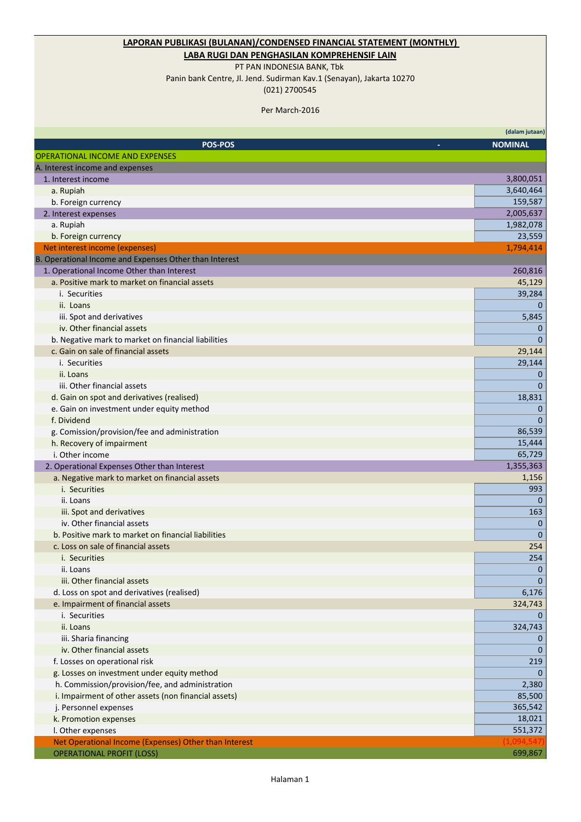# **LAPORAN PUBLIKASI (BULANAN)/CONDENSED FINANCIAL STATEMENT (MONTHLY)**

### **LABA RUGI DAN PENGHASILAN KOMPREHENSIF LAIN**

PT PAN INDONESIA BANK, Tbk

Panin bank Centre, Jl. Jend. Sudirman Kav.1 (Senayan), Jakarta 10270

(021) 2700545

Per March-2016

|                                                                 | (dalam jutaan) |
|-----------------------------------------------------------------|----------------|
| POS-POS                                                         | <b>NOMINAL</b> |
| <b>OPERATIONAL INCOME AND EXPENSES</b>                          |                |
| A. Interest income and expenses                                 |                |
| 1. Interest income                                              | 3,800,051      |
| a. Rupiah                                                       | 3,640,464      |
| b. Foreign currency                                             | 159,587        |
| 2. Interest expenses                                            | 2,005,637      |
| a. Rupiah                                                       | 1,982,078      |
| b. Foreign currency                                             | 23,559         |
| Net interest income (expenses)                                  | 1,794,414      |
| B. Operational Income and Expenses Other than Interest          |                |
| 1. Operational Income Other than Interest                       | 260,816        |
| a. Positive mark to market on financial assets                  | 45,129         |
| i. Securities                                                   | 39,284         |
| ii. Loans                                                       | $\Omega$       |
| iii. Spot and derivatives                                       | 5,845          |
| iv. Other financial assets                                      | 0              |
| b. Negative mark to market on financial liabilities             | $\mathbf 0$    |
| c. Gain on sale of financial assets                             | 29,144         |
| i. Securities                                                   | 29,144         |
| ii. Loans                                                       | 0              |
| iii. Other financial assets                                     | $\theta$       |
| d. Gain on spot and derivatives (realised)                      | 18,831         |
| e. Gain on investment under equity method                       | $\mathbf 0$    |
| f. Dividend                                                     | $\mathbf 0$    |
| g. Comission/provision/fee and administration                   | 86,539         |
| h. Recovery of impairment                                       | 15,444         |
| i. Other income                                                 | 65,729         |
| 2. Operational Expenses Other than Interest                     | 1,355,363      |
| a. Negative mark to market on financial assets<br>i. Securities | 1,156<br>993   |
| ii. Loans                                                       | $\mathbf{0}$   |
| iii. Spot and derivatives                                       | 163            |
| iv. Other financial assets                                      | $\Omega$       |
| b. Positive mark to market on financial liabilities             | $\theta$       |
| c. Loss on sale of financial assets                             | 254            |
| i. Securities                                                   | 254            |
| ii. Loans                                                       | 0              |
| iii. Other financial assets                                     | $\theta$       |
| d. Loss on spot and derivatives (realised)                      | 6,176          |
| e. Impairment of financial assets                               | 324,743        |
| i. Securities                                                   | $\overline{0}$ |
| ii. Loans                                                       | 324,743        |
| iii. Sharia financing                                           | 0              |
| iv. Other financial assets                                      | $\Omega$       |
| f. Losses on operational risk                                   | 219            |
| g. Losses on investment under equity method                     | $\Omega$       |
| h. Commission/provision/fee, and administration                 | 2,380          |
| i. Impairment of other assets (non financial assets)            | 85,500         |
| j. Personnel expenses                                           | 365,542        |
| k. Promotion expenses                                           | 18,021         |
| I. Other expenses                                               | 551,372        |
| Net Operational Income (Expenses) Other than Interest           |                |
| <b>OPERATIONAL PROFIT (LOSS)</b>                                | 699,867        |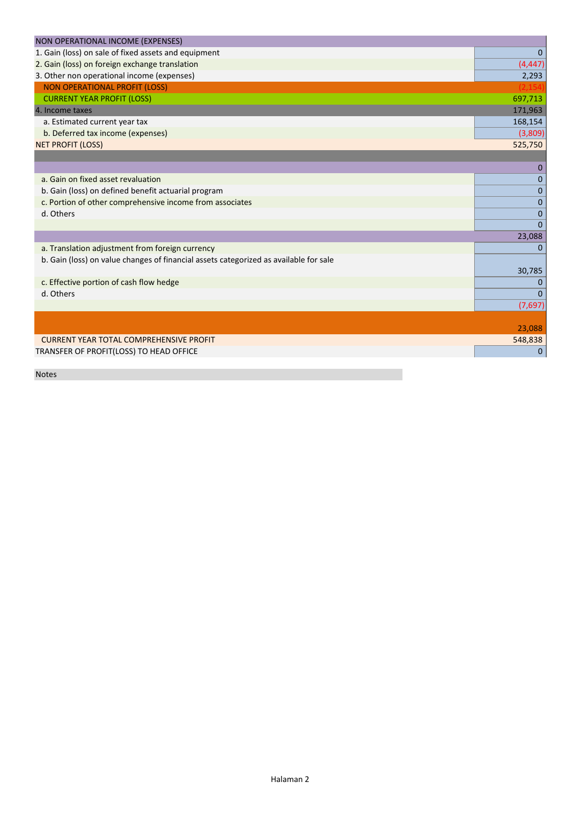| NON OPERATIONAL INCOME (EXPENSES)                                                     |             |
|---------------------------------------------------------------------------------------|-------------|
| 1. Gain (loss) on sale of fixed assets and equipment                                  | $\mathbf 0$ |
| 2. Gain (loss) on foreign exchange translation                                        | (4, 447)    |
| 3. Other non operational income (expenses)                                            | 2,293       |
| <b>NON OPERATIONAL PROFIT (LOSS)</b>                                                  |             |
| <b>CURRENT YEAR PROFIT (LOSS)</b>                                                     | 697,713     |
| 4. Income taxes                                                                       | 171,963     |
| a. Estimated current year tax                                                         | 168,154     |
| b. Deferred tax income (expenses)                                                     | (3,809)     |
| <b>NET PROFIT (LOSS)</b>                                                              | 525,750     |
|                                                                                       |             |
|                                                                                       | $\Omega$    |
| a. Gain on fixed asset revaluation                                                    | 0           |
| b. Gain (loss) on defined benefit actuarial program                                   | 0           |
| c. Portion of other comprehensive income from associates                              | $\mathbf 0$ |
| d. Others                                                                             | $\Omega$    |
|                                                                                       | $\Omega$    |
|                                                                                       | 23,088      |
| a. Translation adjustment from foreign currency                                       | 0           |
| b. Gain (loss) on value changes of financial assets categorized as available for sale |             |
|                                                                                       | 30,785      |
| c. Effective portion of cash flow hedge                                               | 0           |
| d. Others                                                                             | $\Omega$    |
|                                                                                       | (7,697)     |
|                                                                                       |             |
|                                                                                       | 23,088      |
| <b>CURRENT YEAR TOTAL COMPREHENSIVE PROFIT</b>                                        | 548,838     |
| TRANSFER OF PROFIT(LOSS) TO HEAD OFFICE                                               | $\theta$    |
|                                                                                       |             |

Notes